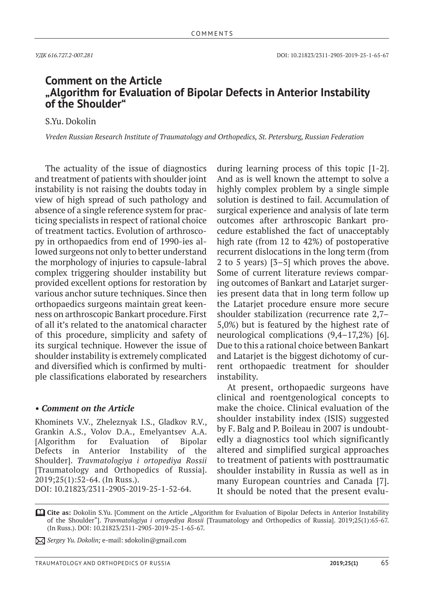## **Comment on the Article "Algorithm for Evaluation of Bipolar Defects in Anterior Instability of the Shoulder"**

S.Yu. Dokolin

*Vreden Russian Research Institute of Traumatology and Orthopedics, St. Petersburg, Russian Federation*

The actuality of the issue of diagnostics and treatment of patients with shoulder joint instability is not raising the doubts today in view of high spread of such pathology and absence of a single reference system for practicing specialists in respect of rational choice of treatment tactics. Evolution of arthroscopy in orthopaedics from end of 1990-ies allowed surgeons not only to better understand the morphology of injuries to capsule-labral complex triggering shoulder instability but provided excellent options for restoration by various anchor suture techniques. Since then orthopaedics surgeons maintain great keenness on arthroscopic Bankart procedure. First of all it's related to the anatomical character of this procedure, simplicity and safety of its surgical technique. However the issue of shoulder instability is extremely complicated and diversified which is confirmed by multiple classifications elaborated by researchers

## *• Comment on the Article*

Khominets V.V., Zheleznyak I.S., Gladkov R.V., Grankin A.S., Volov D.A., Emelyantsev A.A. [Algorithm for Evaluation of Bipolar Defects in Anterior Instability of the Shoulder]. *Travmatologiya i ortopediya Rossii* [Traumatology and Orthopedics of Russia]. 2019;25(1):52-64. (In Russ.). DOI: 10.21823/2311-2905-2019-25-1-52-64.

during learning process of this topic [1-2]. And as is well known the attempt to solve a highly complex problem by a single simple solution is destined to fail. Accumulation of surgical experience and analysis of late term outcomes after arthroscopic Bankart procedure established the fact of unacceptably high rate (from 12 to 42%) of postoperative recurrent dislocations in the long term (from 2 to 5 years) [3–5] which proves the above. Some of current literature reviews comparing outcomes of Bankart and Latarjet surgeries present data that in long term follow up the Latarjet procedure ensure more secure shoulder stabilization (recurrence rate 2,7– 5,0%) but is featured by the highest rate of neurological complications (9,4–17,2%) [6]. Due to this a rational choice between Bankart and Latarjet is the biggest dichotomy of current orthopaedic treatment for shoulder instability.

At present, orthopaedic surgeons have clinical and roentgenological concepts to make the choice. Clinical evaluation of the shoulder instability index (ISIS) suggested by F. Balg and P. Boileau in 2007 is undoubtedly a diagnostics tool which significantly altered and simplified surgical approaches to treatment of patients with posttraumatic shoulder instability in Russia as well as in many European countries and Canada [7]. It should be noted that the present evalu-

**Cite as:** Dokolin S.Yu. [Comment on the Article "Algorithm for Evaluation of Bipolar Defects in Anterior Instability of the Shoulder"]. *Travmatologiya i ortopediya Rossii* [Traumatology and Orthopedics of Russia]. 2019;25(1):65-67. (In Russ.). DOI: 10.21823/2311-2905-2019-25-1-65-67.

*Sergey Yu. Dokolin;* e-mail: sdokolin@gmail.com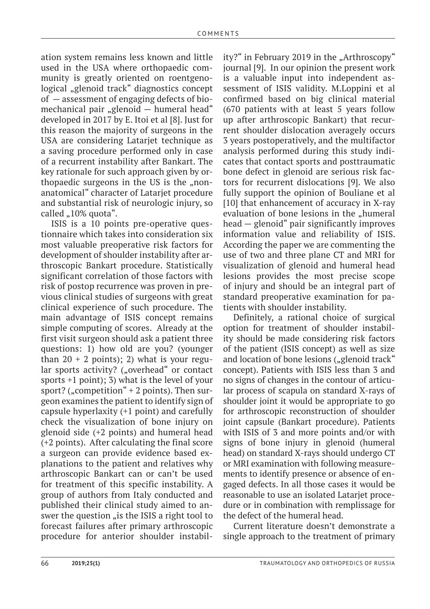ation system remains less known and little used in the USA where orthopaedic community is greatly oriented on roentgenological "glenoid track" diagnostics concept of — assessment of engaging defects of biomechanical pair "glenoid  $-$  humeral head" developed in 2017 by E. Itoi et al [8]. Just for this reason the majority of surgeons in the USA are considering Latarjet technique as a saving procedure performed only in case of a recurrent instability after Bankart. The key rationale for such approach given by orthopaedic surgeons in the US is the "nonanatomical" character of Latarjet procedure and substantial risk of neurologic injury, so called "10% quota".

ISIS is a 10 points pre-operative questionnaire which takes into consideration six most valuable preoperative risk factors for development of shoulder instability after arthroscopic Bankart procedure. Statistically significant correlation of those factors with risk of postop recurrence was proven in previous clinical studies of surgeons with great clinical experience of such procedure. The main advantage of ISIS concept remains simple computing of scores. Already at the first visit surgeon should ask a patient three questions: 1) how old are you? (younger than  $20 + 2$  points); 2) what is your regular sports activity? ("overhead" or contact sports +1 point); 3) what is the level of your sport? ("competition"  $+ 2$  points). Then surgeon examines the patient to identify sign of capsule hyperlaxity (+1 point) and carefully check the visualization of bone injury on glenoid side (+2 points) and humeral head (+2 points). After calculating the final score a surgeon can provide evidence based explanations to the patient and relatives why arthroscopic Bankart can or can't be used for treatment of this specific instability. A group of authors from Italy conducted and published their clinical study aimed to answer the question "is the ISIS a right tool to forecast failures after primary arthroscopic procedure for anterior shoulder instability?" in February 2019 in the "Arthroscopy" journal [9]. In our opinion the present work is a valuable input into independent assessment of ISIS validity. M.Loppini et al confirmed based on big clinical material (670 patients with at least 5 years follow up after arthroscopic Bankart) that recurrent shoulder dislocation averagely occurs 3 years postoperatively, and the multifactor analysis performed during this study indicates that contact sports and posttraumatic bone defect in glenoid are serious risk factors for recurrent dislocations [9]. We also fully support the opinion of Bouliane et al [10] that enhancement of accuracy in x-ray evaluation of bone lesions in the "humeral head — glenoid" pair significantly improves information value and reliability of ISIS. According the paper we are commenting the use of two and three plane CT and MRI for visualization of glenoid and humeral head lesions provides the most precise scope of injury and should be an integral part of standard preoperative examination for patients with shoulder instability.

Definitely, a rational choice of surgical option for treatment of shoulder instability should be made considering risk factors of the patient (ISIS concept) as well as size and location of bone lesions ("glenoid track" concept). Patients with ISIS less than 3 and no signs of changes in the contour of articular process of scapula on standard x-rays of shoulder joint it would be appropriate to go for arthroscopic reconstruction of shoulder joint capsule (Bankart procedure). Patients with ISIS of 3 and more points and/or with signs of bone injury in glenoid (humeral head) on standard x-rays should undergo CT or MRI examination with following measurements to identify presence or absence of engaged defects. In all those cases it would be reasonable to use an isolated Latarjet procedure or in combination with remplissage for the defect of the humeral head.

Current literature doesn't demonstrate a single approach to the treatment of primary